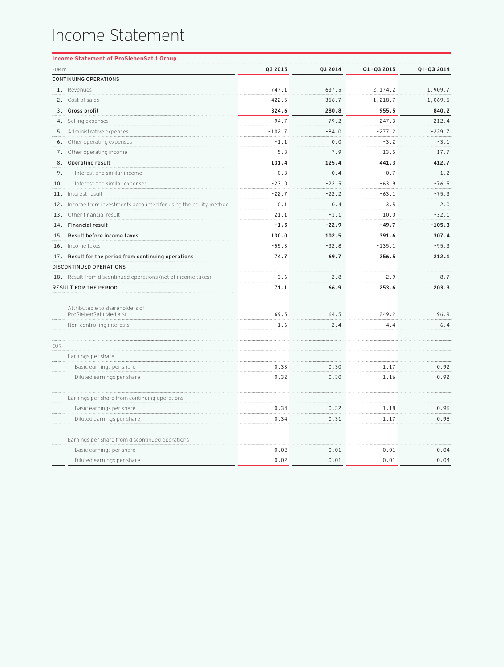## Income Statement

| Q3 2015<br>Q3 2014<br>Q1-Q3 2015<br>Q1-Q3 2014<br>EUR m<br><b>CONTINUING OPERATIONS</b><br>1. Revenues<br>747.1<br>637.5<br>2,174.2<br>1,909.7<br>$-422.5$<br>$-356.7$<br>$-1,069.5$<br>2. Cost of sales<br>$-1, 218.7$<br>280.8<br>840.2<br>3. Gross profit<br>324.6<br>955.5<br>$-94.7$<br>$-79.2$<br>$-212.4$<br>4. Selling expenses<br>$-247.3$<br>$-84.0$<br>$-229.7$<br>5. Administrative expenses<br>$-102.7$<br>$-277.2$<br>6. Other operating expenses<br>$-1.1$<br>0.0<br>$-3.2$<br>$-3.1$<br>5.3<br>7.9<br>7. Other operating income<br>13.5<br>17.7<br>8. Operating result<br>131.4<br>125.4<br>441.3<br>412.7<br>0.3<br>0.4<br>0.7<br>9.<br>Interest and similar income<br>1.2<br>$-22.5$<br>$-76.5$<br>10.<br>Interest and similar expenses<br>$-23.0$<br>$-63.9$<br>11. Interest result<br>$-22.7$<br>$-22.2$<br>$-63.1$<br>$-75.3$<br>12. Income from investments accounted for using the equity method<br>0.1<br>0.4<br>3.5<br>2.0<br>$-32.1$<br>13. Other financial result<br>21.1<br>$-1.1$<br>10.0<br>14. Financial result<br>$-1.5$<br>$-22.9$<br>$-49.7$<br>$-105.3$<br>130.0<br>391.6<br>307.4<br>15. Result before income taxes<br>102.5<br>$-55.3$<br>$-135.1$<br>$-95.3$<br>16. Income taxes<br>$-32.8$<br>17. Result for the period from continuing operations<br>74.7<br>69.7<br>256.5<br>212.1<br>DISCONTINUED OPERATIONS<br>$-3.6$<br>$-2.9$<br>18. Result from discontinued operations (net of income taxes)<br>$-2.8$<br>$-8.7$<br>71.1<br>66.9<br>253.6<br>203.3<br>RESULT FOR THE PERIOD<br>Attributable to shareholders of<br>ProSiebenSat.1 Media SE<br>69.5<br>64.5<br>249.2<br>196.9<br>1.6<br>2.4<br>4.4<br>6.4<br>Non-controlling interests<br>EUR<br>Earnings per share<br>0.33<br>0.30<br>1.17<br>0.92<br>Basic earnings per share<br>Diluted earnings per share<br>0.32<br>0.30<br>1.16<br>0.92<br>Earnings per share from continuing operations<br>Basic earnings per share<br>0.34<br>0.32<br>1.18<br>0.96<br>0.34<br>0.31<br>1.17<br>0.96<br>Diluted earnings per share<br>Earnings per share from discontinued operations<br>$-0.02$<br>$-0.01$<br>$-0.01$<br>$-0.04$<br>Basic earnings per share<br>Diluted earnings per share<br>$-0.02$<br>$-0.01$<br>$-0.01$<br>$-0.04$ | Income Statement of ProSiebenSat.1 Group |  |  |
|----------------------------------------------------------------------------------------------------------------------------------------------------------------------------------------------------------------------------------------------------------------------------------------------------------------------------------------------------------------------------------------------------------------------------------------------------------------------------------------------------------------------------------------------------------------------------------------------------------------------------------------------------------------------------------------------------------------------------------------------------------------------------------------------------------------------------------------------------------------------------------------------------------------------------------------------------------------------------------------------------------------------------------------------------------------------------------------------------------------------------------------------------------------------------------------------------------------------------------------------------------------------------------------------------------------------------------------------------------------------------------------------------------------------------------------------------------------------------------------------------------------------------------------------------------------------------------------------------------------------------------------------------------------------------------------------------------------------------------------------------------------------------------------------------------------------------------------------------------------------------------------------------------------------------------------------------------------------------------------------------------------------------------------------------------------------------------------------------------------------------------------------------------------------------------------------------------------------------|------------------------------------------|--|--|
|                                                                                                                                                                                                                                                                                                                                                                                                                                                                                                                                                                                                                                                                                                                                                                                                                                                                                                                                                                                                                                                                                                                                                                                                                                                                                                                                                                                                                                                                                                                                                                                                                                                                                                                                                                                                                                                                                                                                                                                                                                                                                                                                                                                                                            |                                          |  |  |
|                                                                                                                                                                                                                                                                                                                                                                                                                                                                                                                                                                                                                                                                                                                                                                                                                                                                                                                                                                                                                                                                                                                                                                                                                                                                                                                                                                                                                                                                                                                                                                                                                                                                                                                                                                                                                                                                                                                                                                                                                                                                                                                                                                                                                            |                                          |  |  |
|                                                                                                                                                                                                                                                                                                                                                                                                                                                                                                                                                                                                                                                                                                                                                                                                                                                                                                                                                                                                                                                                                                                                                                                                                                                                                                                                                                                                                                                                                                                                                                                                                                                                                                                                                                                                                                                                                                                                                                                                                                                                                                                                                                                                                            |                                          |  |  |
|                                                                                                                                                                                                                                                                                                                                                                                                                                                                                                                                                                                                                                                                                                                                                                                                                                                                                                                                                                                                                                                                                                                                                                                                                                                                                                                                                                                                                                                                                                                                                                                                                                                                                                                                                                                                                                                                                                                                                                                                                                                                                                                                                                                                                            |                                          |  |  |
|                                                                                                                                                                                                                                                                                                                                                                                                                                                                                                                                                                                                                                                                                                                                                                                                                                                                                                                                                                                                                                                                                                                                                                                                                                                                                                                                                                                                                                                                                                                                                                                                                                                                                                                                                                                                                                                                                                                                                                                                                                                                                                                                                                                                                            |                                          |  |  |
|                                                                                                                                                                                                                                                                                                                                                                                                                                                                                                                                                                                                                                                                                                                                                                                                                                                                                                                                                                                                                                                                                                                                                                                                                                                                                                                                                                                                                                                                                                                                                                                                                                                                                                                                                                                                                                                                                                                                                                                                                                                                                                                                                                                                                            |                                          |  |  |
|                                                                                                                                                                                                                                                                                                                                                                                                                                                                                                                                                                                                                                                                                                                                                                                                                                                                                                                                                                                                                                                                                                                                                                                                                                                                                                                                                                                                                                                                                                                                                                                                                                                                                                                                                                                                                                                                                                                                                                                                                                                                                                                                                                                                                            |                                          |  |  |
|                                                                                                                                                                                                                                                                                                                                                                                                                                                                                                                                                                                                                                                                                                                                                                                                                                                                                                                                                                                                                                                                                                                                                                                                                                                                                                                                                                                                                                                                                                                                                                                                                                                                                                                                                                                                                                                                                                                                                                                                                                                                                                                                                                                                                            |                                          |  |  |
|                                                                                                                                                                                                                                                                                                                                                                                                                                                                                                                                                                                                                                                                                                                                                                                                                                                                                                                                                                                                                                                                                                                                                                                                                                                                                                                                                                                                                                                                                                                                                                                                                                                                                                                                                                                                                                                                                                                                                                                                                                                                                                                                                                                                                            |                                          |  |  |
|                                                                                                                                                                                                                                                                                                                                                                                                                                                                                                                                                                                                                                                                                                                                                                                                                                                                                                                                                                                                                                                                                                                                                                                                                                                                                                                                                                                                                                                                                                                                                                                                                                                                                                                                                                                                                                                                                                                                                                                                                                                                                                                                                                                                                            |                                          |  |  |
|                                                                                                                                                                                                                                                                                                                                                                                                                                                                                                                                                                                                                                                                                                                                                                                                                                                                                                                                                                                                                                                                                                                                                                                                                                                                                                                                                                                                                                                                                                                                                                                                                                                                                                                                                                                                                                                                                                                                                                                                                                                                                                                                                                                                                            |                                          |  |  |
|                                                                                                                                                                                                                                                                                                                                                                                                                                                                                                                                                                                                                                                                                                                                                                                                                                                                                                                                                                                                                                                                                                                                                                                                                                                                                                                                                                                                                                                                                                                                                                                                                                                                                                                                                                                                                                                                                                                                                                                                                                                                                                                                                                                                                            |                                          |  |  |
|                                                                                                                                                                                                                                                                                                                                                                                                                                                                                                                                                                                                                                                                                                                                                                                                                                                                                                                                                                                                                                                                                                                                                                                                                                                                                                                                                                                                                                                                                                                                                                                                                                                                                                                                                                                                                                                                                                                                                                                                                                                                                                                                                                                                                            |                                          |  |  |
|                                                                                                                                                                                                                                                                                                                                                                                                                                                                                                                                                                                                                                                                                                                                                                                                                                                                                                                                                                                                                                                                                                                                                                                                                                                                                                                                                                                                                                                                                                                                                                                                                                                                                                                                                                                                                                                                                                                                                                                                                                                                                                                                                                                                                            |                                          |  |  |
|                                                                                                                                                                                                                                                                                                                                                                                                                                                                                                                                                                                                                                                                                                                                                                                                                                                                                                                                                                                                                                                                                                                                                                                                                                                                                                                                                                                                                                                                                                                                                                                                                                                                                                                                                                                                                                                                                                                                                                                                                                                                                                                                                                                                                            |                                          |  |  |
|                                                                                                                                                                                                                                                                                                                                                                                                                                                                                                                                                                                                                                                                                                                                                                                                                                                                                                                                                                                                                                                                                                                                                                                                                                                                                                                                                                                                                                                                                                                                                                                                                                                                                                                                                                                                                                                                                                                                                                                                                                                                                                                                                                                                                            |                                          |  |  |
|                                                                                                                                                                                                                                                                                                                                                                                                                                                                                                                                                                                                                                                                                                                                                                                                                                                                                                                                                                                                                                                                                                                                                                                                                                                                                                                                                                                                                                                                                                                                                                                                                                                                                                                                                                                                                                                                                                                                                                                                                                                                                                                                                                                                                            |                                          |  |  |
|                                                                                                                                                                                                                                                                                                                                                                                                                                                                                                                                                                                                                                                                                                                                                                                                                                                                                                                                                                                                                                                                                                                                                                                                                                                                                                                                                                                                                                                                                                                                                                                                                                                                                                                                                                                                                                                                                                                                                                                                                                                                                                                                                                                                                            |                                          |  |  |
|                                                                                                                                                                                                                                                                                                                                                                                                                                                                                                                                                                                                                                                                                                                                                                                                                                                                                                                                                                                                                                                                                                                                                                                                                                                                                                                                                                                                                                                                                                                                                                                                                                                                                                                                                                                                                                                                                                                                                                                                                                                                                                                                                                                                                            |                                          |  |  |
|                                                                                                                                                                                                                                                                                                                                                                                                                                                                                                                                                                                                                                                                                                                                                                                                                                                                                                                                                                                                                                                                                                                                                                                                                                                                                                                                                                                                                                                                                                                                                                                                                                                                                                                                                                                                                                                                                                                                                                                                                                                                                                                                                                                                                            |                                          |  |  |
|                                                                                                                                                                                                                                                                                                                                                                                                                                                                                                                                                                                                                                                                                                                                                                                                                                                                                                                                                                                                                                                                                                                                                                                                                                                                                                                                                                                                                                                                                                                                                                                                                                                                                                                                                                                                                                                                                                                                                                                                                                                                                                                                                                                                                            |                                          |  |  |
|                                                                                                                                                                                                                                                                                                                                                                                                                                                                                                                                                                                                                                                                                                                                                                                                                                                                                                                                                                                                                                                                                                                                                                                                                                                                                                                                                                                                                                                                                                                                                                                                                                                                                                                                                                                                                                                                                                                                                                                                                                                                                                                                                                                                                            |                                          |  |  |
|                                                                                                                                                                                                                                                                                                                                                                                                                                                                                                                                                                                                                                                                                                                                                                                                                                                                                                                                                                                                                                                                                                                                                                                                                                                                                                                                                                                                                                                                                                                                                                                                                                                                                                                                                                                                                                                                                                                                                                                                                                                                                                                                                                                                                            |                                          |  |  |
|                                                                                                                                                                                                                                                                                                                                                                                                                                                                                                                                                                                                                                                                                                                                                                                                                                                                                                                                                                                                                                                                                                                                                                                                                                                                                                                                                                                                                                                                                                                                                                                                                                                                                                                                                                                                                                                                                                                                                                                                                                                                                                                                                                                                                            |                                          |  |  |
|                                                                                                                                                                                                                                                                                                                                                                                                                                                                                                                                                                                                                                                                                                                                                                                                                                                                                                                                                                                                                                                                                                                                                                                                                                                                                                                                                                                                                                                                                                                                                                                                                                                                                                                                                                                                                                                                                                                                                                                                                                                                                                                                                                                                                            |                                          |  |  |
|                                                                                                                                                                                                                                                                                                                                                                                                                                                                                                                                                                                                                                                                                                                                                                                                                                                                                                                                                                                                                                                                                                                                                                                                                                                                                                                                                                                                                                                                                                                                                                                                                                                                                                                                                                                                                                                                                                                                                                                                                                                                                                                                                                                                                            |                                          |  |  |
|                                                                                                                                                                                                                                                                                                                                                                                                                                                                                                                                                                                                                                                                                                                                                                                                                                                                                                                                                                                                                                                                                                                                                                                                                                                                                                                                                                                                                                                                                                                                                                                                                                                                                                                                                                                                                                                                                                                                                                                                                                                                                                                                                                                                                            |                                          |  |  |
|                                                                                                                                                                                                                                                                                                                                                                                                                                                                                                                                                                                                                                                                                                                                                                                                                                                                                                                                                                                                                                                                                                                                                                                                                                                                                                                                                                                                                                                                                                                                                                                                                                                                                                                                                                                                                                                                                                                                                                                                                                                                                                                                                                                                                            |                                          |  |  |
|                                                                                                                                                                                                                                                                                                                                                                                                                                                                                                                                                                                                                                                                                                                                                                                                                                                                                                                                                                                                                                                                                                                                                                                                                                                                                                                                                                                                                                                                                                                                                                                                                                                                                                                                                                                                                                                                                                                                                                                                                                                                                                                                                                                                                            |                                          |  |  |
|                                                                                                                                                                                                                                                                                                                                                                                                                                                                                                                                                                                                                                                                                                                                                                                                                                                                                                                                                                                                                                                                                                                                                                                                                                                                                                                                                                                                                                                                                                                                                                                                                                                                                                                                                                                                                                                                                                                                                                                                                                                                                                                                                                                                                            |                                          |  |  |
|                                                                                                                                                                                                                                                                                                                                                                                                                                                                                                                                                                                                                                                                                                                                                                                                                                                                                                                                                                                                                                                                                                                                                                                                                                                                                                                                                                                                                                                                                                                                                                                                                                                                                                                                                                                                                                                                                                                                                                                                                                                                                                                                                                                                                            |                                          |  |  |
|                                                                                                                                                                                                                                                                                                                                                                                                                                                                                                                                                                                                                                                                                                                                                                                                                                                                                                                                                                                                                                                                                                                                                                                                                                                                                                                                                                                                                                                                                                                                                                                                                                                                                                                                                                                                                                                                                                                                                                                                                                                                                                                                                                                                                            |                                          |  |  |
|                                                                                                                                                                                                                                                                                                                                                                                                                                                                                                                                                                                                                                                                                                                                                                                                                                                                                                                                                                                                                                                                                                                                                                                                                                                                                                                                                                                                                                                                                                                                                                                                                                                                                                                                                                                                                                                                                                                                                                                                                                                                                                                                                                                                                            |                                          |  |  |
|                                                                                                                                                                                                                                                                                                                                                                                                                                                                                                                                                                                                                                                                                                                                                                                                                                                                                                                                                                                                                                                                                                                                                                                                                                                                                                                                                                                                                                                                                                                                                                                                                                                                                                                                                                                                                                                                                                                                                                                                                                                                                                                                                                                                                            |                                          |  |  |
|                                                                                                                                                                                                                                                                                                                                                                                                                                                                                                                                                                                                                                                                                                                                                                                                                                                                                                                                                                                                                                                                                                                                                                                                                                                                                                                                                                                                                                                                                                                                                                                                                                                                                                                                                                                                                                                                                                                                                                                                                                                                                                                                                                                                                            |                                          |  |  |